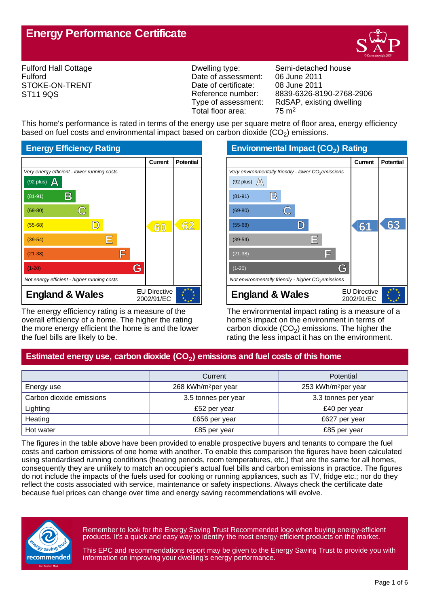

Fulford Hall Cottage Fulford STOKE-ON-TRENT ST11 9QS

Date of assessment: 06 June 2011<br>Date of certificate: 08 June 2011 Date of certificate:<br>Reference number: Total floor area: 75 m2

Dwelling type: Semi-detached house Reference number: 8839-6326-8190-2768-2906<br>Type of assessment: RdSAP, existing dwelling RdSAP, existing dwelling

This home's performance is rated in terms of the energy use per square metre of floor area, energy efficiency based on fuel costs and environmental impact based on carbon dioxide (CO<sub>2</sub>) emissions.



The energy efficiency rating is a measure of the overall efficiency of a home. The higher the rating the more energy efficient the home is and the lower the fuel bills are likely to be.

**Environmental Impact (CO<sup>2</sup> ) Rating**

|                                                                 | Current                           | <b>Potential</b> |
|-----------------------------------------------------------------|-----------------------------------|------------------|
| Very environmentally friendly - lower CO <sub>2</sub> emissions |                                   |                  |
| (92 plus) $\mathbb{A}$                                          |                                   |                  |
| $\mathbb{B}$<br>$(81-91)$                                       |                                   |                  |
| $(69-80)$                                                       |                                   |                  |
| $(55-68)$                                                       | 61                                | ഭ്               |
| Ε<br>$(39-54)$                                                  |                                   |                  |
| F<br>$(21-38)$                                                  |                                   |                  |
| G<br>$(1-20)$                                                   |                                   |                  |
| Not environmentally friendly - higher $CO2$ emissions           |                                   |                  |
| <b>England &amp; Wales</b>                                      | <b>EU Directive</b><br>2002/91/EC |                  |

The environmental impact rating is a measure of a home's impact on the environment in terms of carbon dioxide (CO<sub>2</sub>) emissions. The higher the rating the less impact it has on the environment.

# **Estimated energy use, carbon dioxide (CO<sup>2</sup> ) emissions and fuel costs of this home**

|                          | Current                         | <b>Potential</b>                |
|--------------------------|---------------------------------|---------------------------------|
| Energy use               | 268 kWh/m <sup>2</sup> per year | 253 kWh/m <sup>2</sup> per year |
| Carbon dioxide emissions | 3.5 tonnes per year             | 3.3 tonnes per year             |
| Lighting                 | £52 per year                    | £40 per year                    |
| Heating                  | £656 per year                   | £627 per year                   |
| Hot water                | £85 per year                    | £85 per year                    |

The figures in the table above have been provided to enable prospective buyers and tenants to compare the fuel costs and carbon emissions of one home with another. To enable this comparison the figures have been calculated using standardised running conditions (heating periods, room temperatures, etc.) that are the same for all homes, consequently they are unlikely to match an occupier's actual fuel bills and carbon emissions in practice. The figures do not include the impacts of the fuels used for cooking or running appliances, such as TV, fridge etc.; nor do they reflect the costs associated with service, maintenance or safety inspections. Always check the certificate date because fuel prices can change over time and energy saving recommendations will evolve.



Remember to look for the Energy Saving Trust Recommended logo when buying energy-efficient products. It's a quick and easy way to identify the most energy-efficient products on the market.

This EPC and recommendations report may be given to the Energy Saving Trust to provide you with information on improving your dwelling's energy performance.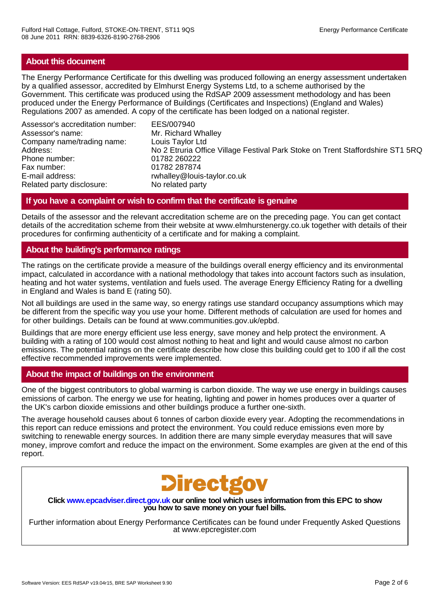#### **About this document**

The Energy Performance Certificate for this dwelling was produced following an energy assessment undertaken by a qualified assessor, accredited by Elmhurst Energy Systems Ltd, to a scheme authorised by the Government. This certificate was produced using the RdSAP 2009 assessment methodology and has been produced under the Energy Performance of Buildings (Certificates and Inspections) (England and Wales) Regulations 2007 as amended. A copy of the certificate has been lodged on a national register.

Assessor's accreditation number: EES/007940 Assessor's name: Mr. Richard Whalley Company name/trading name: Louis Taylor Ltd Phone number: 01782 260222 Fax number: 01782 287874 E-mail address: rwhalley@louis-taylor.co.uk<br>Related party disclosure: No related party Related party disclosure:

No 2 Etruria Office Village Festival Park Stoke on Trent Staffordshire ST1 5RQ

## **If you have a complaint or wish to confirm that the certificate is genuine**

Details of the assessor and the relevant accreditation scheme are on the preceding page. You can get contact details of the accreditation scheme from their website at www.elmhurstenergy.co.uk together with details of their procedures for confirming authenticity of a certificate and for making a complaint.

## **About the building's performance ratings**

The ratings on the certificate provide a measure of the buildings overall energy efficiency and its environmental impact, calculated in accordance with a national methodology that takes into account factors such as insulation, heating and hot water systems, ventilation and fuels used. The average Energy Efficiency Rating for a dwelling in England and Wales is band E (rating 50).

Not all buildings are used in the same way, so energy ratings use standard occupancy assumptions which may be different from the specific way you use your home. Different methods of calculation are used for homes and for other buildings. Details can be found at www.communities.gov.uk/epbd.

Buildings that are more energy efficient use less energy, save money and help protect the environment. A building with a rating of 100 would cost almost nothing to heat and light and would cause almost no carbon emissions. The potential ratings on the certificate describe how close this building could get to 100 if all the cost effective recommended improvements were implemented.

## **About the impact of buildings on the environment**

One of the biggest contributors to global warming is carbon dioxide. The way we use energy in buildings causes emissions of carbon. The energy we use for heating, lighting and power in homes produces over a quarter of the UK's carbon dioxide emissions and other buildings produce a further one-sixth.

The average household causes about 6 tonnes of carbon dioxide every year. Adopting the recommendations in this report can reduce emissions and protect the environment. You could reduce emissions even more by switching to renewable energy sources. In addition there are many simple everyday measures that will save money, improve comfort and reduce the impact on the environment. Some examples are given at the end of this report.



**Click www.epcadviser.direct.gov.uk our online tool which uses information from this EPC to show you how to save money on your fuel bills.**

Further information about Energy Performance Certificates can be found under Frequently Asked Questions at www.epcregister.com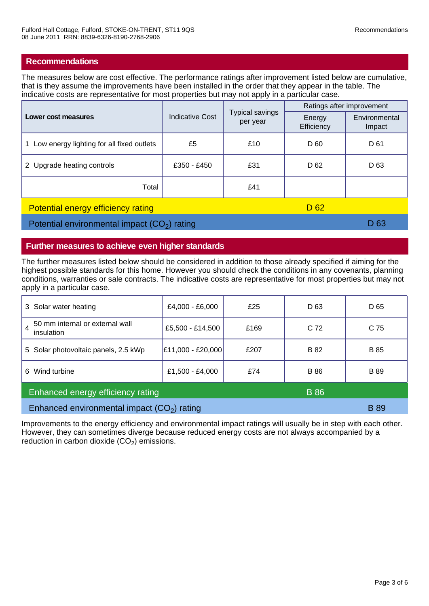#### **Recommendations**

The measures below are cost effective. The performance ratings after improvement listed below are cumulative, that is they assume the improvements have been installed in the order that they appear in the table. The indicative costs are representative for most properties but may not apply in a particular case.

| Lower cost measures                                          | <b>Indicative Cost</b> | <b>Typical savings</b><br>per year | Ratings after improvement |                         |
|--------------------------------------------------------------|------------------------|------------------------------------|---------------------------|-------------------------|
|                                                              |                        |                                    | Energy<br>Efficiency      | Environmental<br>Impact |
| Low energy lighting for all fixed outlets                    | £5                     | £10                                | D 60                      | D 61                    |
| 2 Upgrade heating controls                                   | £350 - £450            | £31                                | D <sub>62</sub>           | D <sub>63</sub>         |
| Total                                                        |                        | £41                                |                           |                         |
| D <sub>62</sub><br><b>Potential energy efficiency rating</b> |                        |                                    |                           |                         |

Potential environmental impact  $(CO_2)$  rating D 63

#### **Further measures to achieve even higher standards**

The further measures listed below should be considered in addition to those already specified if aiming for the highest possible standards for this home. However you should check the conditions in any covenants, planning conditions, warranties or sale contracts. The indicative costs are representative for most properties but may not apply in a particular case.

| 3 Solar water heating                            | £4,000 - £6,000   | £25  | D 63            | D 65        |
|--------------------------------------------------|-------------------|------|-----------------|-------------|
| 50 mm internal or external wall<br>insulation    | £5,500 - £14,500  | £169 | C <sub>72</sub> | C 75        |
| 5 Solar photovoltaic panels, 2.5 kWp             | £11,000 - £20,000 | £207 | <b>B</b> 82     | <b>B</b> 85 |
| Wind turbine<br>6.                               | £1,500 - £4,000   | £74  | <b>B</b> 86     | <b>B</b> 89 |
| <b>B</b> 86<br>Enhanced energy efficiency rating |                   |      |                 |             |
| Enhanced environmental impact $(CO2)$ rating     |                   |      |                 | <b>B</b> 89 |

Improvements to the energy efficiency and environmental impact ratings will usually be in step with each other. However, they can sometimes diverge because reduced energy costs are not always accompanied by a reduction in carbon dioxide  $(CO_2)$  emissions.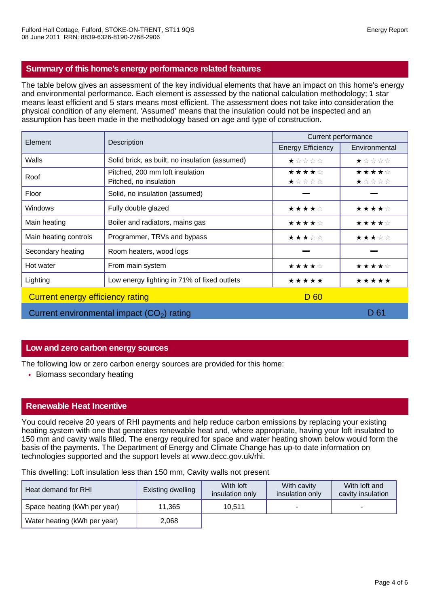## **Summary of this home's energy performance related features**

The table below gives an assessment of the key individual elements that have an impact on this home's energy and environmental performance. Each element is assessed by the national calculation methodology; 1 star means least efficient and 5 stars means most efficient. The assessment does not take into consideration the physical condition of any element. 'Assumed' means that the insulation could not be inspected and an assumption has been made in the methodology based on age and type of construction.

| Element                          | Description                                               | Current performance      |                |  |
|----------------------------------|-----------------------------------------------------------|--------------------------|----------------|--|
|                                  |                                                           | <b>Energy Efficiency</b> | Environmental  |  |
| Walls                            | Solid brick, as built, no insulation (assumed)            | ★☆☆☆☆                    | ★☆☆☆☆          |  |
| Roof                             | Pitched, 200 mm loft insulation<br>Pitched, no insulation | ★★★★☆<br>★☆☆☆☆           | ★★★★☆<br>★☆☆☆☆ |  |
| Floor                            | Solid, no insulation (assumed)                            |                          |                |  |
| <b>Windows</b>                   | Fully double glazed                                       | ★★★★☆                    | ★★★★☆          |  |
| Main heating                     | Boiler and radiators, mains gas                           | ★★★★☆                    | ★★★★☆          |  |
| Main heating controls            | Programmer, TRVs and bypass                               | ★★★☆☆                    | ★★★☆☆          |  |
| Secondary heating                | Room heaters, wood logs                                   |                          |                |  |
| Hot water                        | From main system                                          | ★★★★☆                    | ★★★★☆          |  |
| Lighting                         | Low energy lighting in 71% of fixed outlets               | *****                    | *****          |  |
| Current energy efficiency rating |                                                           | D 60                     |                |  |
|                                  | Current environmental impact $(CO2)$ rating               |                          | D 61           |  |

## **Low and zero carbon energy sources**

The following low or zero carbon energy sources are provided for this home:

• Biomass secondary heating

## **Renewable Heat Incentive**

You could receive 20 years of RHI payments and help reduce carbon emissions by replacing your existing heating system with one that generates renewable heat and, where appropriate, having your loft insulated to 150 mm and cavity walls filled. The energy required for space and water heating shown below would form the basis of the payments. The Department of Energy and Climate Change has up-to date information on technologies supported and the support levels at www.decc.gov.uk/rhi.

This dwelling: Loft insulation less than 150 mm, Cavity walls not present

| Heat demand for RHI          | Existing dwelling | With loft<br>insulation only | With cavity<br>insulation only | With loft and<br>cavity insulation |
|------------------------------|-------------------|------------------------------|--------------------------------|------------------------------------|
| Space heating (kWh per year) | 11,365            | 10.511                       |                                | -                                  |
| Water heating (kWh per year) | 2,068             |                              |                                |                                    |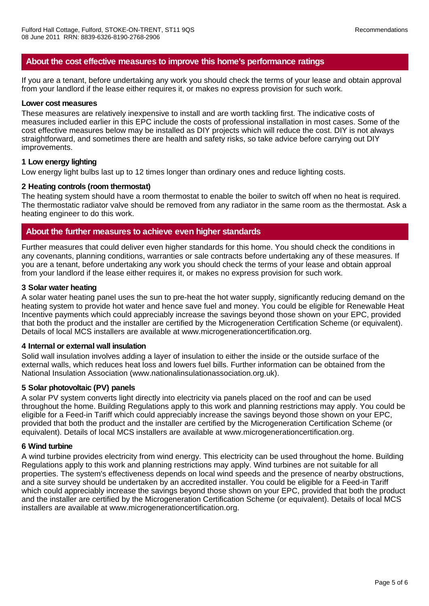## **About the cost effective measures to improve this home's performance ratings**

If you are a tenant, before undertaking any work you should check the terms of your lease and obtain approval from your landlord if the lease either requires it, or makes no express provision for such work.

#### **Lower cost measures**

These measures are relatively inexpensive to install and are worth tackling first. The indicative costs of measures included earlier in this EPC include the costs of professional installation in most cases. Some of the cost effective measures below may be installed as DIY projects which will reduce the cost. DIY is not always straightforward, and sometimes there are health and safety risks, so take advice before carrying out DIY improvements.

## **1 Low energy lighting**

Low energy light bulbs last up to 12 times longer than ordinary ones and reduce lighting costs.

#### **2 Heating controls (room thermostat)**

The heating system should have a room thermostat to enable the boiler to switch off when no heat is required. The thermostatic radiator valve should be removed from any radiator in the same room as the thermostat. Ask a heating engineer to do this work.

## **About the further measures to achieve even higher standards**

Further measures that could deliver even higher standards for this home. You should check the conditions in any covenants, planning conditions, warranties or sale contracts before undertaking any of these measures. If you are a tenant, before undertaking any work you should check the terms of your lease and obtain approal from your landlord if the lease either requires it, or makes no express provision for such work.

#### **3 Solar water heating**

A solar water heating panel uses the sun to pre-heat the hot water supply, significantly reducing demand on the heating system to provide hot water and hence save fuel and money. You could be eligible for Renewable Heat Incentive payments which could appreciably increase the savings beyond those shown on your EPC, provided that both the product and the installer are certified by the Microgeneration Certification Scheme (or equivalent). Details of local MCS installers are available at www.microgenerationcertification.org.

#### **4 Internal or external wall insulation**

Solid wall insulation involves adding a layer of insulation to either the inside or the outside surface of the external walls, which reduces heat loss and lowers fuel bills. Further information can be obtained from the National Insulation Association (www.nationalinsulationassociation.org.uk).

## **5 Solar photovoltaic (PV) panels**

A solar PV system converts light directly into electricity via panels placed on the roof and can be used throughout the home. Building Regulations apply to this work and planning restrictions may apply. You could be eligible for a Feed-in Tariff which could appreciably increase the savings beyond those shown on your EPC, provided that both the product and the installer are certified by the Microgeneration Certification Scheme (or equivalent). Details of local MCS installers are available at www.microgenerationcertification.org.

#### **6 Wind turbine**

A wind turbine provides electricity from wind energy. This electricity can be used throughout the home. Building Regulations apply to this work and planning restrictions may apply. Wind turbines are not suitable for all properties. The system's effectiveness depends on local wind speeds and the presence of nearby obstructions, and a site survey should be undertaken by an accredited installer. You could be eligible for a Feed-in Tariff which could appreciably increase the savings beyond those shown on your EPC, provided that both the product and the installer are certified by the Microgeneration Certification Scheme (or equivalent). Details of local MCS installers are available at www.microgenerationcertification.org.